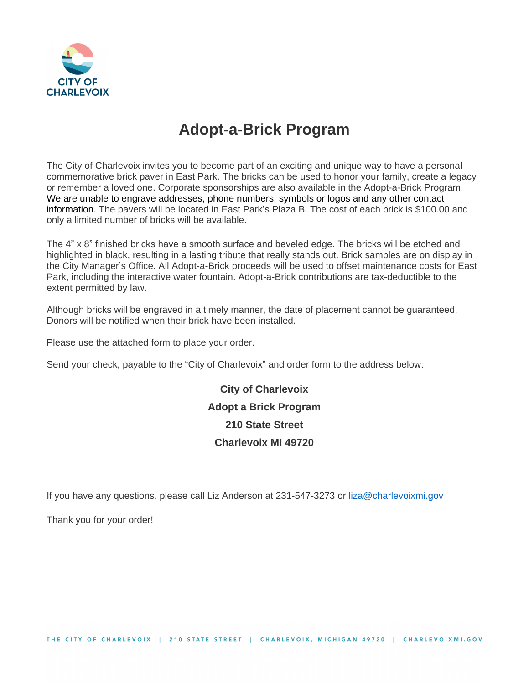

## **Adopt-a-Brick Program**

The City of Charlevoix invites you to become part of an exciting and unique way to have a personal commemorative brick paver in East Park. The bricks can be used to honor your family, create a legacy or remember a loved one. Corporate sponsorships are also available in the Adopt-a-Brick Program. We are unable to engrave addresses, phone numbers, symbols or logos and any other contact information. The pavers will be located in East Park's Plaza B. The cost of each brick is \$100.00 and only a limited number of bricks will be available.

The 4" x 8" finished bricks have a smooth surface and beveled edge. The bricks will be etched and highlighted in black, resulting in a lasting tribute that really stands out. Brick samples are on display in the City Manager's Office. All Adopt-a-Brick proceeds will be used to offset maintenance costs for East Park, including the interactive water fountain. Adopt-a-Brick contributions are tax-deductible to the extent permitted by law.

Although bricks will be engraved in a timely manner, the date of placement cannot be guaranteed. Donors will be notified when their brick have been installed.

Please use the attached form to place your order.

Send your check, payable to the "City of Charlevoix" and order form to the address below:

**City of Charlevoix Adopt a Brick Program 210 State Street Charlevoix MI 49720**

If you have any questions, please call Liz Anderson at 231-547-3273 or [liza@charlevoixmi.gov](mailto:liza@charlevoixmi.gov)

Thank you for your order!